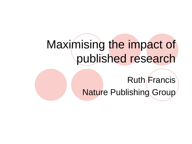# Maximising the impact of published research

Ruth Francis Nature Publishing Group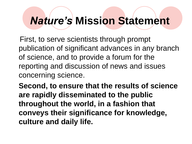# *Nature's* **Mission Statement**

 First, to serve scientists through prompt publication of significant advances in any branch of science, and to provide a forum for the reporting and discussion of news and issues concerning science.

**Second, to ensure that the results of science are rapidly disseminated to the public throughout the world, in a fashion that conveys their significance for knowledge, culture and daily life.**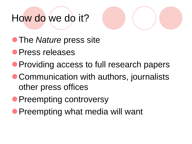# How do we do it?



- **The** *Nature* press site
- Press releases
- **Providing access to full research papers**
- Communication with authors, journalists other press offices
- **Preempting controversy**
- **Preempting what media will want**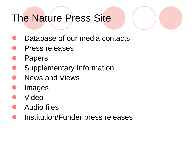# The Nature Press Site

- Database of our media contacts
- Press releases
- Papers
- Supplementary Information
- News and Views
- Images
- Video
- Audio files
- Institution/Funder press releases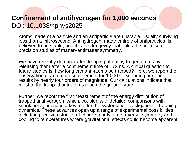## **Confinement of antihydrogen for 1,000 seconds** DOI: 10.1038/nphys2025

Atoms made of a particle and an antiparticle are unstable, usually surviving less than a microsecond. Antihydrogen, made entirely of antiparticles, is believed to be stable, and it is this longevity that holds the promise of precision studies of matter–antimatter symmetry.

We have recently demonstrated trapping of antihydrogen atoms by releasing them after a confinement time of 172ms. A critical question for future studies is: how long can anti-atoms be trapped? Here, we report the observation of anti-atom confinement for 1,000 s, extending our earlier results by nearly four orders of magnitude. Our calculations indicate that most of the trapped anti-atoms reach the ground state.

Further, we report the first measurement of the energy distribution of trapped antihydrogen, which, coupled with detailed comparisons with simulations, provides a key tool for the systematic investigation of trapping dynamics. These advances open up a range of experimental possibilities, including precision studies of charge–parity–time reversal symmetry and cooling to temperatures where gravitational effects could become apparent.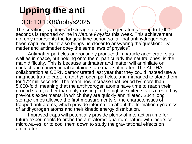# **Upping the anti**

## DOI: 10.1038/nphys2025

The creation, trapping and storage of antihydrogen atoms for up to 1,000 seconds is reported online in *Nature Physics* this week. This achievement not only represents the longest time period so far that antihydrogen has been captured, but it also brings us closer to answering the question: 'Do matter and antimatter obey the same laws of physics?'

Antimatter particles are routinely produced in particle accelerators as well as in space, but holding onto them, particularly the neutral ones, is the main difficulty. This is because antimatter and matter will annihilate on contact and conventional containers are made of matter. The ALPHA collaboration at CERN demonstrated last year that they could instead use a magnetic trap to capture antihydrogen particles, and managed to store them for 172 milliseconds. The team now increase that period by more than 5,000-fold, meaning that the antihydrogen atoms have time to reach their ground state, rather than only existing in the highly excited states created by previous experiments, in which they are quickly annihilated. Such long storage times allowed the first measurements of the characteristics of trapped anti-atoms, which provide information about the formation dynamics of antihydrogen atoms and their kinetic energy distribution.

Improved traps will potentially provide plenty of interaction time for future experiments to probe the anti-atoms' quantum nature with lasers or microwaves, or to cool them down to study the gravitational effects on antimatter.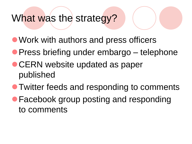## What was the strategy?

- Work with authors and press officers
- **Press briefing under embargo** telephone
- CERN website updated as paper published
- **Twitter feeds and responding to comments**
- **Facebook group posting and responding** to comments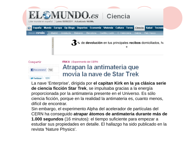

M-Twittear < 131

La nave 'Enterprise', dirigida por **el capitan Kirk en la ya clásica serie de ciencia ficción Star Trek**, se impulsaba gracias a la energía proporcionada por la antimateria presente en el Universo. Es sólo ciencia ficción, porque en la realidad la antimateria es, cuanto menos, difícil de encontrar.

Sin embargo, el experimento Alpha del acelerador de partículas del CERN ha conseguido **atrapar átomos de antimateria durante más de 1.000 segundos** (16 minutos): el tiempo suficiente para empezar a estudiar sus propiedades en detalle. El hallazgo ha sido publicado en la revista 'Nature Physics'.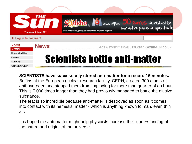|                            | THE<br>Tuesday, 7 June 2011 | Socialebro by la vous offre 50 euros de réduction<br>Pour votre santé, pratiquez une activité physique régulière |                                            |  |  |
|----------------------------|-----------------------------|------------------------------------------------------------------------------------------------------------------|--------------------------------------------|--|--|
| ▶ Log in to comment        |                             |                                                                                                                  |                                            |  |  |
| HOME<br><b>NEWS</b>        | <b>News</b>                 |                                                                                                                  | GOT A STORY? EMAIL: TALKBACK@THE-SUN.CO.UK |  |  |
| Royal Wedding<br>Forces    |                             | <b>Scientists bottle anti-matter</b>                                                                             |                                            |  |  |
| Sun City<br>Captain Crunch |                             |                                                                                                                  |                                            |  |  |

**SCIENTISTS have successfully stored anti-matter for a record 16 minutes.** Boffins at the European nuclear research facility, CERN, created 300 atoms of anti-hydrogen and stopped them from imploding for more than quarter of an hour. This is 5,000 times longer than they had previously managed to bottle the elusive substance.

The feat is so incredible because anti-matter is destroyed as soon as it comes into contact with its nemesis, matter - which is anything known to man, even thin air.

It is hoped the anti-matter might help physicists increase their understanding of the nature and origins of the universe.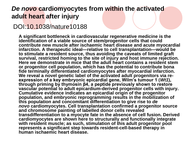### *De novo* **cardiomyocytes from within the activated adult heart after injury**

### DOI:10.1038/nature10188

**A significant bottleneck in cardiovascular regenerative medicine is the identification of a viable source of stem/progenitor cells that could contribute new muscle after ischaemic heart disease and acute myocardial infarction. A therapeutic ideal—relative to cell transplantation—would be to stimulate a resident source, thus avoiding the caveats of limited graft survival, restricted homing to the site of injury and host immune rejection. Here we demonstrate in mice that the adult heart contains a resident stem or progenitor cell population, which has the potential to contribute bona fide terminally differentiated cardiomyocytes after myocardial infarction.**  We reveal a novel genetic label of the activated adult progenitors via re**expression of a key embryonic epicardial gene, Wilm's tumour 1 (***Wt1***), through priming by thymosin β4, a peptide previously shown to restore vascular potential to adult epicardium-derived progenitor cells with injury. Cumulative evidence indicates an epicardial origin of the progenitor population, and embryonic reprogramming results in the mobilization of this population and concomitant differentiation to give rise to** *de novo* **cardiomyocytes. Cell transplantation confirmed a progenitor source and chromosome painting of labelled donor cells revealed transdifferentiation to a myocyte fate in the absence of cell fusion. Derived**  cardiomyocytes are shown here to structurally and functionally integrate with resident muscle; as such, stimulation of this adult progenitor pool **represents a significant step towards resident-cell-based therapy in human ischaemic heart disease.**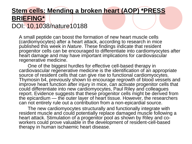### **Stem cells: Mending a broken heart (AOP) \*PRESS BRIEFING\***

## DOI: 10.1038/nature10188

A small peptide can boost the formation of new heart muscle cells (cardiomyocytes) after a heart attack, according to research in mice published this week in *Nature*. These findings indicate that resident progenitor cells can be encouraged to differentiate into cardiomyocytes after heart damage and may have important implications for cardiovascular regenerative medicine.

 One of the biggest hurdles for effective cell-based therapy in cardiovascular regenerative medicine is the identification of an appropriate source of resident cells that can give rise to functional cardiomyocytes. Thymosin b4, previously shown to encourage regrowth of blood vessels and improve heart function after injury in mice, can activate progenitor cells that could differentiate into new cardiomyocytes, Paul Riley and colleagues report. Evidence suggests that these progenitor cells might be derived from the epicardium — the outer layer of heart tissue. However, the researchers can not entirely rule out a contribution from a non-epicardial source.

 The new cardiomyocytes structurally and functionally integrate with resident muscle and could potentially replace damaged muscle following a heart attack. Stimulation of a progenitor pool as shown by Riley and coworkers could prove valuable in the development of resident-cell-based therapy in human ischaemic heart disease.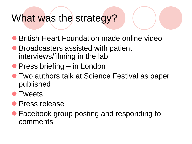## What was the strategy?

- **British Heart Foundation made online video**
- Broadcasters assisted with patient interviews/filming in the lab
- Press briefing in London
- Two authors talk at Science Festival as paper published
- Tweets
- **•** Press release
- Facebook group posting and responding to comments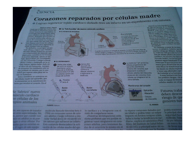#### CIENCIA

## Corazones reparados por células madre

Cogran regenerar tejido cardiaco dañado tras un infarto en un experimento con ratones

**ANGELES LÖPEZ / Madrid**  $\begin{array}{c} \textbf{Dosele que se subr que exist en cili} \\ \textbf{las madre en diferentes partes del} \\ \textbf{cuerpo humano, los especialistas en} \end{array}$ cardiologia han desarrollado numerosos estudios con dos objetivos. El orimero, demostrar que también en el corazón existen esas células, capaces de convertirse en cualquier otro tipo celular. Por otro lado, también buscan una forma de utilizarlas como terapia para regenerar el rejido cardiaco tras un infarto. En definitiva, se persigue un mé-

todo eficaz y seguro que transforme esas cellulas primarias en nueves componentes del músculo cardiaco para restablecer la función de la zona infartada. Abora un trabajo, desarrollado por investigadores del University College London (Reino Unido) y publicado en la revista Nature, parece haber dado en el clavo de esa húsqueda. Aunque de momento has resultados solo se han probacio en ratones, por lo que habra que esperar años para ver su шко его времянаться.

Estes científicos se centraron en las cellulas madre del epicardio, que se encuentran en la membrana externa que recubre al corazón. En el

#### Se fabricó' nuevo iusculo cardiaco n células de los pros animales

to sun capaces de transforr erres especializadas. Sin marine que cuando nos wir en adultos ya no pueme a stras celulas. Por what does no experience enby the service of the engine security of

#### **El La 'fabricación' de nuevo músculo cardiaco**

Varios días

después de

sufriera el

molécula.

que el animal

a invectarle la

ataque volvieron

Ratón con infarto

Ø

#### **EL INFARTO DE MIOCARDIO**



se suele producir por<br>una obstrucción de una<br>arteria debido a la previa existencia de un coágulo o de una placa de aterrama. Coágulo sanguineo Cuando se produite el ataque al corazón, la zona afectada deja de

Placa

recibir sangre y oxigeno. El músculo se necrosa y muere. Aunque el corazón sigue funcionando, esa zona no se mueve y trabaja peor.

Area infartada

un intarto de miocardio

a La molécula T 84 activó las rélulas progenitoras del epicardio (membrana externa del corazón), que empezaron a producir células adultas del miocardio (músculo del corazón). Esas células se integraron en la zona dañada.

#### Membranas del corazón

**Epicardio Miocardio** Células de miocardio

#### EL MUNDO

molécula llamada timosina beta 4 (TB4) en corazones sanos de ratones adultos y luego volvieron a inocular varias dosis de recuerdo en los ratones que sufrieron un infarto. Esta sustancia desencadenó la activación de las células madre del epi-

**FUENTE Nature.** 

**E EL EXPERIMENTO** 

Varios días antes

riesgo de sutrirlo.

de sufrir un infarto.

dosis de la molécula

tirosina beta 4 (T B4)

en ratones sanos con

o, Tirosina

Ratón

sano

· beta 4

Invectaron varias

lo cardíaco y a integrarse con el resto de compañeras sanas.

«Nuestras investigaciones anteriores probaron que era posible regenerar vasos sanguíneos en corazones adultos, pero teníamos dudas de si ocurriria lo mismo en el

ra reparar corazones dañados por un infarto y podría tener un mayor impacto en futuras terapias orientadas a tratar la insuficiencia cardiaca», explica el catedrático Paul Riley, del Instituto de Salud Infantil del UCL y principal autor del es-

Para Francisco Fernández, Avilés, jefe del Servicio de Cardiología del Hospital Gregorio Marañón de Madrid, este estudio «confirma que en el corazón adulto existen células madre que pueden activar-<br>se y regenerar el tejido destruido.<br>se y regenerar el tejido destruido.<br>Estos resultados abren una espe ranza a, en el futuro, poder utilizar moléculas activadoras que, administradas a pacientes de alto riesgo, puedan evitar o atenuar la destrucción de telido cardiaco en caso de infarto».

No obstante, a pesar de los excetentes resultados, todavía queda mucho trabajo por delante. Aunqu<br>la molécula TB4 permitió la form ción de células adultas del múscu cardiaco, su número fue limita Por este motivo, los investigado planean seguir estudiando el m nismo por el que funciona esta tancia para desarrollar un m más eficaz de transformar la las madre en células especia y tener una alternativa que da trasladar a los humanos

A esas limitaciones hay los posibles riesgos. «Si e cula es capaz de transi células madre en otras

**Futuros traba** deben descar riesgo de qu generen tun

> podría ocasional lo principal abo seguridad far roolecula Tuel da por debar **UD BOOKD &** de Nevisi no